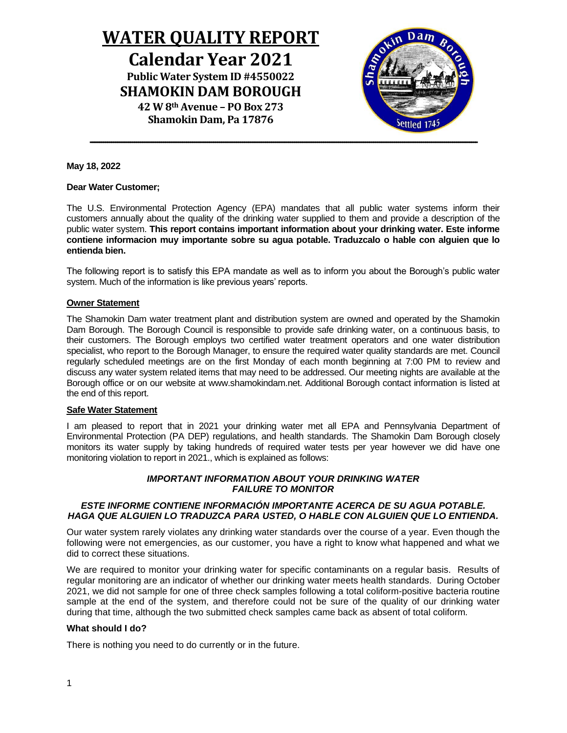# **WATER QUALITY REPORT Calendar Year 2021 Public Water System ID #4550022 SHAMOKIN DAM BOROUGH 42 W 8th Avenue – PO Box 273 Shamokin Dam, Pa 17876**

---------------------------------------------------------------------------------------------------------------------------------------------------------------------------------------------------------

## **May 18, 2022**

#### **Dear Water Customer;**

The U.S. Environmental Protection Agency (EPA) mandates that all public water systems inform their customers annually about the quality of the drinking water supplied to them and provide a description of the public water system. **This report contains important information about your drinking water. Este informe contiene informacion muy importante sobre su agua potable. Traduzcalo o hable con alguien que lo entienda bien.** 

The following report is to satisfy this EPA mandate as well as to inform you about the Borough's public water system. Much of the information is like previous years' reports.

#### **Owner Statement**

The Shamokin Dam water treatment plant and distribution system are owned and operated by the Shamokin Dam Borough. The Borough Council is responsible to provide safe drinking water, on a continuous basis, to their customers. The Borough employs two certified water treatment operators and one water distribution specialist, who report to the Borough Manager, to ensure the required water quality standards are met. Council regularly scheduled meetings are on the first Monday of each month beginning at 7:00 PM to review and discuss any water system related items that may need to be addressed. Our meeting nights are available at the Borough office or on our website at www.shamokindam.net. Additional Borough contact information is listed at the end of this report.

## **Safe Water Statement**

I am pleased to report that in 2021 your drinking water met all EPA and Pennsylvania Department of Environmental Protection (PA DEP) regulations, and health standards. The Shamokin Dam Borough closely monitors its water supply by taking hundreds of required water tests per year however we did have one monitoring violation to report in 2021., which is explained as follows:

## *IMPORTANT INFORMATION ABOUT YOUR DRINKING WATER FAILURE TO MONITOR*

## *ESTE INFORME CONTIENE INFORMACIÓN IMPORTANTE ACERCA DE SU AGUA POTABLE. HAGA QUE ALGUIEN LO TRADUZCA PARA USTED, O HABLE CON ALGUIEN QUE LO ENTIENDA.*

Our water system rarely violates any drinking water standards over the course of a year. Even though the following were not emergencies, as our customer, you have a right to know what happened and what we did to correct these situations.

We are required to monitor your drinking water for specific contaminants on a regular basis. Results of regular monitoring are an indicator of whether our drinking water meets health standards. During October 2021, we did not sample for one of three check samples following a total coliform-positive bacteria routine sample at the end of the system, and therefore could not be sure of the quality of our drinking water during that time, although the two submitted check samples came back as absent of total coliform*.*

## **What should I do?**

There is nothing you need to do currently or in the future.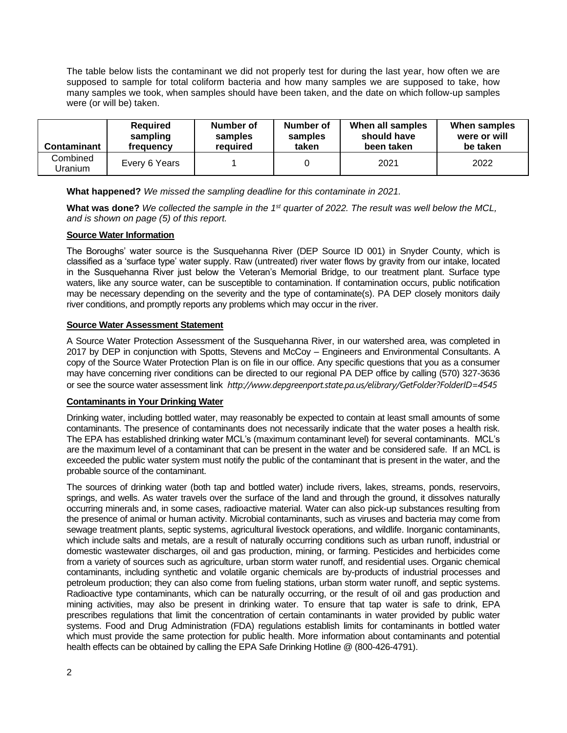The table below lists the contaminant we did not properly test for during the last year, how often we are supposed to sample for total coliform bacteria and how many samples we are supposed to take, how many samples we took, when samples should have been taken, and the date on which follow-up samples were (or will be) taken.

| Contaminant         | <b>Required</b> | Number of | Number of | When all samples | When samples |
|---------------------|-----------------|-----------|-----------|------------------|--------------|
|                     | sampling        | samples   | samples   | should have      | were or will |
|                     | frequency       | reauired  | taken     | been taken       | be taken     |
| Combined<br>Uranium | Every 6 Years   |           |           | 2021             | 2022         |

**What happened?** *We missed the sampling deadline for this contaminate in 2021.* 

**What was done?** *We collected the sample in the 1st quarter of 2022. The result was well below the MCL, and is shown on page (5) of this report.* 

# **Source Water Information**

The Boroughs' water source is the Susquehanna River (DEP Source ID 001) in Snyder County, which is classified as a 'surface type' water supply. Raw (untreated) river water flows by gravity from our intake, located in the Susquehanna River just below the Veteran's Memorial Bridge, to our treatment plant. Surface type waters, like any source water, can be susceptible to contamination. If contamination occurs, public notification may be necessary depending on the severity and the type of contaminate(s). PA DEP closely monitors daily river conditions, and promptly reports any problems which may occur in the river.

# **Source Water Assessment Statement**

A Source Water Protection Assessment of the Susquehanna River, in our watershed area, was completed in 2017 by DEP in conjunction with Spotts, Stevens and McCoy – Engineers and Environmental Consultants. A copy of the Source Water Protection Plan is on file in our office. Any specific questions that you as a consumer may have concerning river conditions can be directed to our regional PA DEP office by calling (570) 327-3636 or see the source water assessment link *<http://www.depgreenport.state.pa.us/elibrary/GetFolder?FolderID=4545>*

# **Contaminants in Your Drinking Water**

Drinking water, including bottled water, may reasonably be expected to contain at least small amounts of some contaminants. The presence of contaminants does not necessarily indicate that the water poses a health risk. The EPA has established drinking water MCL's (maximum contaminant level) for several contaminants. MCL's are the maximum level of a contaminant that can be present in the water and be considered safe. If an MCL is exceeded the public water system must notify the public of the contaminant that is present in the water, and the probable source of the contaminant.

The sources of drinking water (both tap and bottled water) include rivers, lakes, streams, ponds, reservoirs, springs, and wells. As water travels over the surface of the land and through the ground, it dissolves naturally occurring minerals and, in some cases, radioactive material. Water can also pick-up substances resulting from the presence of animal or human activity. Microbial contaminants, such as viruses and bacteria may come from sewage treatment plants, septic systems, agricultural livestock operations, and wildlife. Inorganic contaminants, which include salts and metals, are a result of naturally occurring conditions such as urban runoff, industrial or domestic wastewater discharges, oil and gas production, mining, or farming. Pesticides and herbicides come from a variety of sources such as agriculture, urban storm water runoff, and residential uses. Organic chemical contaminants, including synthetic and volatile organic chemicals are by-products of industrial processes and petroleum production; they can also come from fueling stations, urban storm water runoff, and septic systems. Radioactive type contaminants, which can be naturally occurring, or the result of oil and gas production and mining activities, may also be present in drinking water. To ensure that tap water is safe to drink, EPA prescribes regulations that limit the concentration of certain contaminants in water provided by public water systems. Food and Drug Administration (FDA) regulations establish limits for contaminants in bottled water which must provide the same protection for public health. More information about contaminants and potential health effects can be obtained by calling the EPA Safe Drinking Hotline @ (800-426-4791).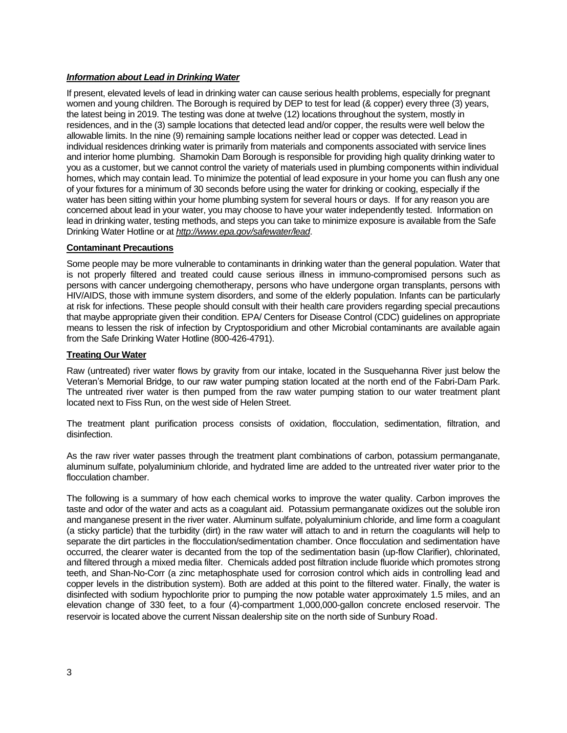# *Information about Lead in Drinking Water*

If present, elevated levels of lead in drinking water can cause serious health problems, especially for pregnant women and young children. The Borough is required by DEP to test for lead (& copper) every three (3) years, the latest being in 2019. The testing was done at twelve (12) locations throughout the system, mostly in residences, and in the (3) sample locations that detected lead and/or copper, the results were well below the allowable limits. In the nine (9) remaining sample locations neither lead or copper was detected. Lead in individual residences drinking water is primarily from materials and components associated with service lines and interior home plumbing. Shamokin Dam Borough is responsible for providing high quality drinking water to you as a customer, but we cannot control the variety of materials used in plumbing components within individual homes, which may contain lead. To minimize the potential of lead exposure in your home you can flush any one of your fixtures for a minimum of 30 seconds before using the water for drinking or cooking, especially if the water has been sitting within your home plumbing system for several hours or days. If for any reason you are concerned about lead in your water, you may choose to have your water independently tested. Information on lead in drinking water, testing methods, and steps you can take to minimize exposure is available from the Safe Drinking Water Hotline or at *<http://www.epa.gov/safewater/lead>*.

# **Contaminant Precautions**

Some people may be more vulnerable to contaminants in drinking water than the general population. Water that is not properly filtered and treated could cause serious illness in immuno-compromised persons such as persons with cancer undergoing chemotherapy, persons who have undergone organ transplants, persons with HIV/AIDS, those with immune system disorders, and some of the elderly population. Infants can be particularly at risk for infections. These people should consult with their health care providers regarding special precautions that maybe appropriate given their condition. EPA/ Centers for Disease Control (CDC) guidelines on appropriate means to lessen the risk of infection by Cryptosporidium and other Microbial contaminants are available again from the Safe Drinking Water Hotline (800-426-4791).

# **Treating Our Water**

Raw (untreated) river water flows by gravity from our intake, located in the Susquehanna River just below the Veteran's Memorial Bridge, to our raw water pumping station located at the north end of the Fabri-Dam Park. The untreated river water is then pumped from the raw water pumping station to our water treatment plant located next to Fiss Run, on the west side of Helen Street.

The treatment plant purification process consists of oxidation, flocculation, sedimentation, filtration, and disinfection.

As the raw river water passes through the treatment plant combinations of carbon, potassium permanganate, aluminum sulfate, polyaluminium chloride, and hydrated lime are added to the untreated river water prior to the flocculation chamber.

The following is a summary of how each chemical works to improve the water quality. Carbon improves the taste and odor of the water and acts as a coagulant aid. Potassium permanganate oxidizes out the soluble iron and manganese present in the river water. Aluminum sulfate, polyaluminium chloride, and lime form a coagulant (a sticky particle) that the turbidity (dirt) in the raw water will attach to and in return the coagulants will help to separate the dirt particles in the flocculation/sedimentation chamber. Once flocculation and sedimentation have occurred, the clearer water is decanted from the top of the sedimentation basin (up-flow Clarifier), chlorinated, and filtered through a mixed media filter. Chemicals added post filtration include fluoride which promotes strong teeth, and Shan-No-Corr (a zinc metaphosphate used for corrosion control which aids in controlling lead and copper levels in the distribution system). Both are added at this point to the filtered water. Finally, the water is disinfected with sodium hypochlorite prior to pumping the now potable water approximately 1.5 miles, and an elevation change of 330 feet, to a four (4)-compartment 1,000,000-gallon concrete enclosed reservoir. The reservoir is located above the current Nissan dealership site on the north side of Sunbury Road.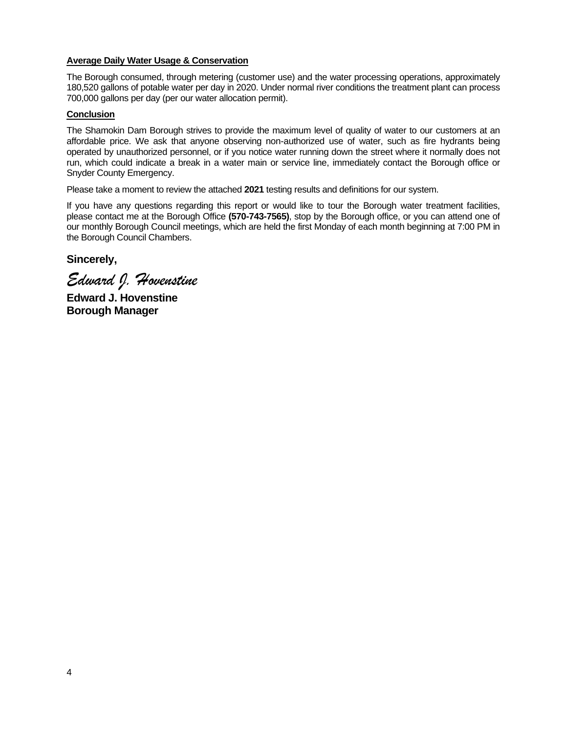# **Average Daily Water Usage & Conservation**

The Borough consumed, through metering (customer use) and the water processing operations, approximately 180,520 gallons of potable water per day in 2020. Under normal river conditions the treatment plant can process 700,000 gallons per day (per our water allocation permit).

# **Conclusion**

The Shamokin Dam Borough strives to provide the maximum level of quality of water to our customers at an affordable price. We ask that anyone observing non-authorized use of water, such as fire hydrants being operated by unauthorized personnel, or if you notice water running down the street where it normally does not run, which could indicate a break in a water main or service line, immediately contact the Borough office or Snyder County Emergency.

Please take a moment to review the attached **2021** testing results and definitions for our system.

If you have any questions regarding this report or would like to tour the Borough water treatment facilities, please contact me at the Borough Office **(570-743-7565)**, stop by the Borough office, or you can attend one of our monthly Borough Council meetings, which are held the first Monday of each month beginning at 7:00 PM in the Borough Council Chambers.

**Sincerely,**

*Edward J. Hovenstine*

**Edward J. Hovenstine Borough Manager**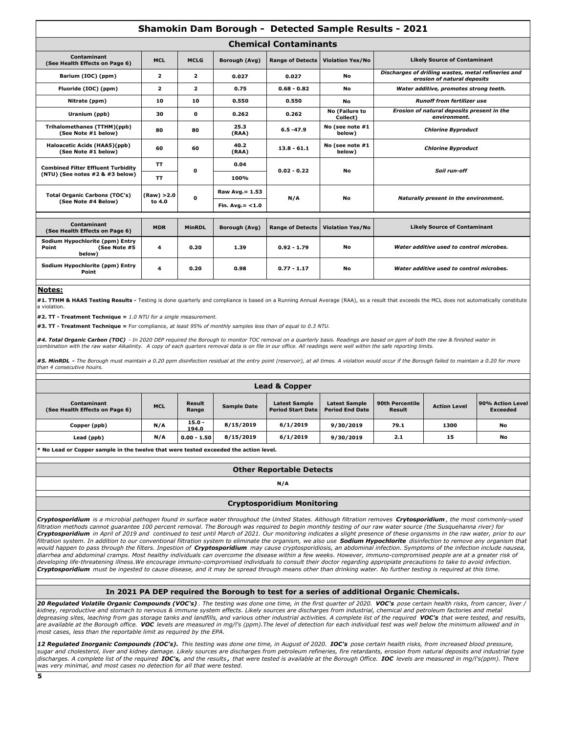| <b>Shamokin Dam Borough - Detected Sample Results - 2021</b>       |                         |                |                    |                         |                            |                                                                                    |  |
|--------------------------------------------------------------------|-------------------------|----------------|--------------------|-------------------------|----------------------------|------------------------------------------------------------------------------------|--|
| <b>Chemical Contaminants</b>                                       |                         |                |                    |                         |                            |                                                                                    |  |
| Contaminant<br>(See Health Effects on Page 6)                      | <b>MCL</b>              | <b>MCLG</b>    | Borough (Avg)      | <b>Range of Detects</b> | <b>Violation Yes/No</b>    | <b>Likely Source of Contaminant</b>                                                |  |
| Barium (IOC) (ppm)                                                 | $\overline{\mathbf{2}}$ | $\overline{2}$ | 0.027              | 0.027                   | No                         | Discharges of drilling wastes, metal refineries and<br>erosion of natural deposits |  |
| Fluoride (IOC) (ppm)                                               | $\overline{2}$          | $\overline{2}$ | 0.75               | $0.68 - 0.82$           | No                         | Water additive, promotes strong teeth.                                             |  |
| Nitrate (ppm)                                                      | 10                      | 10             | 0.550              | 0.550                   | No                         | <b>Runoff from fertilizer use</b>                                                  |  |
| Uranium (ppb)                                                      | 30                      | O              | 0.262              | 0.262                   | No (Failure to<br>Collect) | Erosion of natural deposits present in the<br>environment.                         |  |
| Trihalomethanes (TTHM)(ppb)<br>(See Note #1 below)                 | 80                      | 80             | 25.3<br>(RAA)      | $6.5 - 47.9$            | No (see note #1<br>below)  | <b>Chlorine Byproduct</b>                                                          |  |
| Haloacetic Acids (HAA5)(ppb)<br>(See Note #1 below)                | 60                      | 60             | 40.2<br>(RAA)      | $13.8 - 61.1$           | No (see note #1<br>below)  | <b>Chlorine Byproduct</b>                                                          |  |
| <b>Combined Filter Effluent Turbidity</b>                          | <b>TT</b>               |                | 0.04               | $0.02 - 0.22$           | <b>No</b>                  |                                                                                    |  |
| (NTU) (See notes #2 & #3 below)                                    | <b>TT</b>               | O              | 100%               |                         |                            | Soil run-off                                                                       |  |
| <b>Total Organic Carbons (TOC's)</b>                               | (Raw) > 2.0<br>to 4.0   | O              | Raw Avg. = 1.53    | N/A                     | <b>No</b>                  | Naturally present in the environment.                                              |  |
| (See Note #4 Below)                                                |                         |                | Fin. $Avg = < 1.0$ |                         |                            |                                                                                    |  |
|                                                                    |                         |                |                    |                         |                            |                                                                                    |  |
| Contaminant<br>(See Health Effects on Page 6)                      | <b>MDR</b>              | MinRDL         | Borough (Avg)      | <b>Range of Detects</b> | <b>Violation Yes/No</b>    | <b>Likely Source of Contaminant</b>                                                |  |
| Sodium Hypochlorite (ppm) Entry<br>(See Note #5<br>Point<br>below) | 4                       | 0.20           | 1.39               | $0.92 - 1.79$           | <b>No</b>                  | Water additive used to control microbes.                                           |  |
| Sodium Hypochlorite (ppm) Entry<br>Point                           | 4                       | 0.20           | 0.98               | $0.77 - 1.17$           | No                         | Water additive used to control microbes.                                           |  |

#### **Notes:**

**#1. TTHM & HAA5 Testing Results -** Testing is done quarterly and compliance is based on a Running Annual Average (RAA), so a result that exceeds the MCL does not automatically constitute a violation.

**#2. TT - Treatment Technique =** *1.0 NTU for a single measurement.*

**#3. TT - Treatment Technique =** For compliance, *at least 95% of monthly samples less than of equal to 0.3 NTU.*

*#4. Total Organic Carbon (TOC) - In 2020 DEP required the Borough to monitor TOC removal on a quarterly basis. Readings are based on ppm of both the raw & finished water in combination with the raw water Alkalinity. A copy of each quarters removal data is on file in our office. All readings were well within the safe reporting limits.*

*#5. MinRDL* **-** *The Borough must maintain a 0.20 ppm disinfection residual at the entry point (reservoir), at all times. A violation would occur if the Borough failed to maintain a 0.20 for more than 4 consecutive houirs.*

| Lead & Copper                                 |            |                        |                    |                                                  |                                                |                           |                     |                                     |
|-----------------------------------------------|------------|------------------------|--------------------|--------------------------------------------------|------------------------------------------------|---------------------------|---------------------|-------------------------------------|
| Contaminant<br>(See Health Effects on Page 6) | <b>MCL</b> | <b>Result</b><br>Range | <b>Sample Date</b> | <b>Latest Sample</b><br><b>Period Start Date</b> | <b>Latest Sample</b><br><b>Period End Date</b> | 90th Percentile<br>Result | <b>Action Level</b> | 90% Action Level<br><b>Exceeded</b> |
| Copper (ppb)                                  | N/A        | $15.0 -$<br>194.0      | 8/15/2019          | 6/1/2019                                         | 9/30/2019                                      | 79.1                      | 1300                | No                                  |
| Lead (ppb)                                    | N/A        | $0.00 - 1.50$          | 8/15/2019          | 6/1/2019                                         | 9/30/2019                                      | 2.1                       | 15                  | No                                  |

**\* No Lead or Copper sample in the twelve that were tested exceeded the action level.**

| <b>Other Reportable Detects</b> |  |
|---------------------------------|--|
|---------------------------------|--|

**N/A**

#### **Cryptosporidium Monitoring**

*Cryptosporidium is a microbial pathogen found in surface water throughout the United States. Although filtration removes Crytosporidium , the most commonly-used filtration methods cannot guarantee 100 percent removal. The Borough was required to begin monthly testing of our raw water source (the Susquehanna river) for Cryptosporidium in April of 2019 and continued to test until March of 2021. Our monitoring indicates a slight presence of these organisms in the raw water, prior to our filtration system. In addition to our conventional filtration system to eliminate the organism, we also use Sodium Hypochlorite disinfection to remove any organism that would happen to pass through the filters. Ingestion of Cryptosporidium may cause cryptosporidiosis, an abdominal infection. Symptoms of the infection include nausea, diarrhea and abdominal cramps. Most healthy individuals can overcome the disease within a few weeks. However, immuno-compromised people are at a greater risk of*  developing life-threatening illness.We encourage immuno-compromised individuals to consult their doctor regarding appropiate precautions to take to avoid infection. *Cryptosporidium must be ingested to cause disease, and it may be spread through means other than drinking water. No further testing is required at this time.*

#### **In 2021 PA DEP required the Borough to test for a series of additional Organic Chemicals.**

20 Regulated Volatile Organic Compounds (VOC's). The testing was done one time, in the first quarter of 2020. VOC's pose certain health risks, from cancer, liver / *kidney, reproductive and stomach to nervous & immune system effects. Likely sources are discharges from industrial, chemical and petroleum factories and metal degreasing sites, leaching from gas storage tanks and landfills, and various other industrial activities. A complete list of the required VOC's that were tested, and results, are available at the Borough office. VOC levels are measured in mg/l's (ppm).The level of detection for each individual test was well below the minimum allowed and in most cases, less than the reportable limit as required by the EPA.* 

*12 Regulated Inorganic Compounds (IOC's). This testing was done one time, in August of 2020. IOC's pose certain health risks, from increased blood pressure, sugar and cholesterol, liver and kidney damage. Likely sources are discharges from petroleum refineries, fire retardants, erosion from natural deposits and industrial type discharges. A complete list of the required IOC's, and the results , that were tested is available at the Borough Office. IOC levels are measured in mg/l's(ppm). There was very minimal, and most cases no detection for all that were tested.*